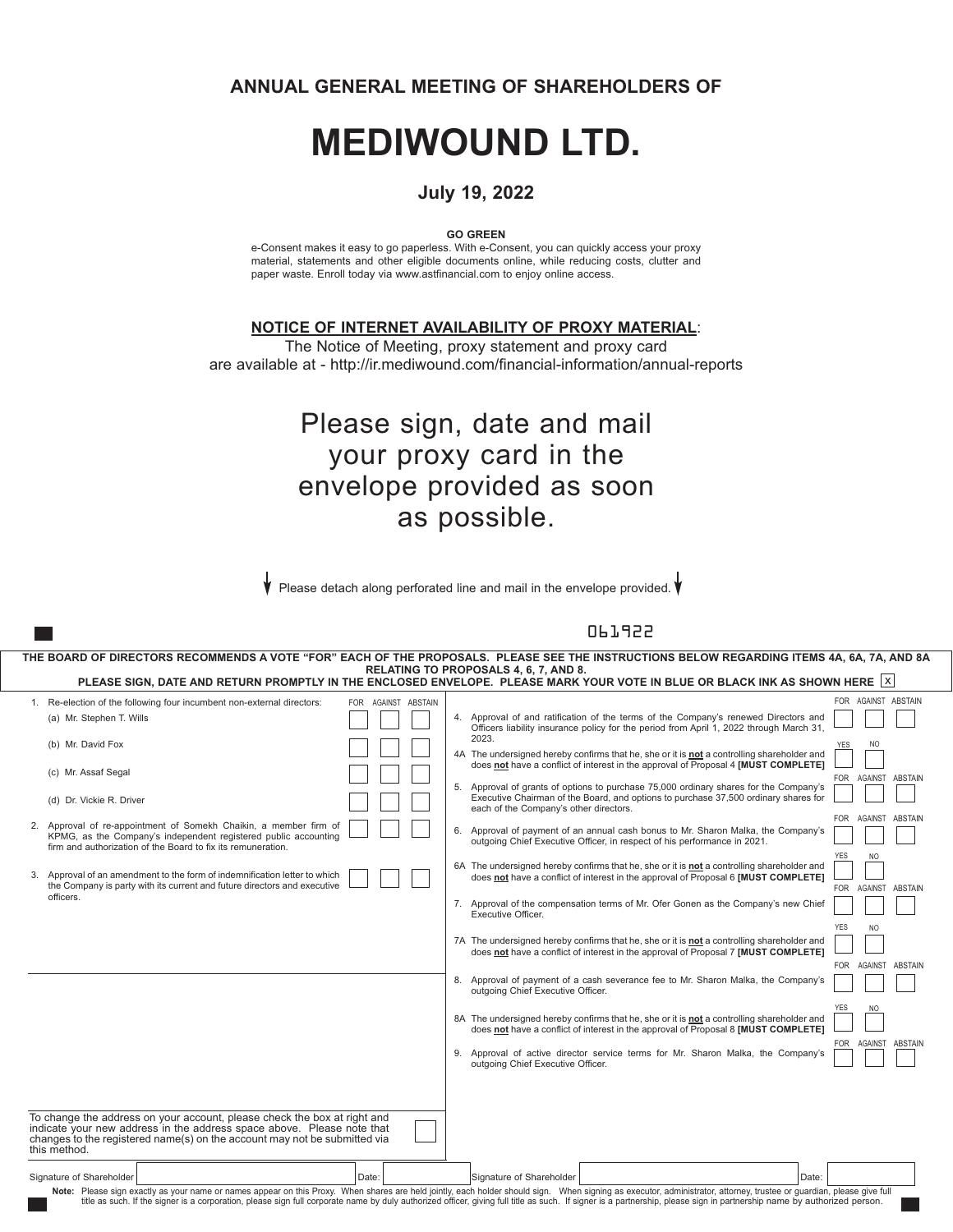**ANNUAL GENERAL MEETING OF SHAREHOLDERS OF**

# **MEDIWOUND LTD.**

#### **July 19, 2022**

**GO GREEN**

e-Consent makes it easy to go paperless. With e-Consent, you can quickly access your proxy material, statements and other eligible documents online, while reducing costs, clutter and paper waste. Enroll today via www.astfinancial.com to enjoy online access.

**NOTICE OF INTERNET AVAILABILITY OF PROXY MATERIAL**:

The Notice of Meeting, proxy statement and proxy card are available at - http://ir.mediwound.com/financial-information/annual-reports

## Please sign, date and mail your proxy card in the envelope provided as soon as possible.

Please detach along perforated line and mail in the envelope provided.

#### 061922

| THE BOARD OF DIRECTORS RECOMMENDS A VOTE "FOR" EACH OF THE PROPOSALS. PLEASE SEE THE INSTRUCTIONS BELOW REGARDING ITEMS 4A, 6A, 7A, AND 8A                                                                                                                                                                                                                                                                                                       |                     |                                                                                                                                                                                                                                     |
|--------------------------------------------------------------------------------------------------------------------------------------------------------------------------------------------------------------------------------------------------------------------------------------------------------------------------------------------------------------------------------------------------------------------------------------------------|---------------------|-------------------------------------------------------------------------------------------------------------------------------------------------------------------------------------------------------------------------------------|
| RELATING TO PROPOSALS 4, 6, 7, AND 8.<br>PLEASE SIGN, DATE AND RETURN PROMPTLY IN THE ENCLOSED ENVELOPE. PLEASE MARK YOUR VOTE IN BLUE OR BLACK INK AS SHOWN HERE  X                                                                                                                                                                                                                                                                             |                     |                                                                                                                                                                                                                                     |
| 1. Re-election of the following four incumbent non-external directors:                                                                                                                                                                                                                                                                                                                                                                           | FOR AGAINST ABSTAIN | FOR AGAINST ABSTAIN                                                                                                                                                                                                                 |
| (a) Mr. Stephen T. Wills                                                                                                                                                                                                                                                                                                                                                                                                                         |                     | 4. Approval of and ratification of the terms of the Company's renewed Directors and<br>Officers liability insurance policy for the period from April 1, 2022 through March 31.                                                      |
| (b) Mr. David Fox                                                                                                                                                                                                                                                                                                                                                                                                                                |                     | 2023.<br><sub>NO</sub><br><b>YES</b><br>4A The undersigned hereby confirms that he, she or it is not a controlling shareholder and                                                                                                  |
| (c) Mr. Assaf Segal                                                                                                                                                                                                                                                                                                                                                                                                                              |                     | does not have a conflict of interest in the approval of Proposal 4 [MUST COMPLETE]<br>FOR AGAINST ABSTAIN<br>5. Approval of grants of options to purchase 75,000 ordinary shares for the Company's                                  |
| (d) Dr. Vickie R. Driver                                                                                                                                                                                                                                                                                                                                                                                                                         |                     | Executive Chairman of the Board, and options to purchase 37,500 ordinary shares for<br>each of the Company's other directors.                                                                                                       |
| 2. Approval of re-appointment of Somekh Chaikin, a member firm of<br>KPMG, as the Company's independent registered public accounting<br>firm and authorization of the Board to fix its remuneration.                                                                                                                                                                                                                                             |                     | FOR AGAINST ABSTAIN<br>Approval of payment of an annual cash bonus to Mr. Sharon Malka, the Company's<br>6.<br>outgoing Chief Executive Officer, in respect of his performance in 2021.                                             |
| 3. Approval of an amendment to the form of indemnification letter to which<br>the Company is party with its current and future directors and executive<br>officers.                                                                                                                                                                                                                                                                              |                     | <b>YES</b><br>NO.<br>6A The undersigned hereby confirms that he, she or it is <b>not</b> a controlling shareholder and<br>does not have a conflict of interest in the approval of Proposal 6 [MUST COMPLETE]<br>FOR AGAINST ABSTAIN |
|                                                                                                                                                                                                                                                                                                                                                                                                                                                  |                     | 7. Approval of the compensation terms of Mr. Ofer Gonen as the Company's new Chief<br>Executive Officer.                                                                                                                            |
|                                                                                                                                                                                                                                                                                                                                                                                                                                                  |                     | <b>YES</b><br>N <sub>O</sub><br>7A The undersigned hereby confirms that he, she or it is not a controlling shareholder and<br>does not have a conflict of interest in the approval of Proposal 7 [MUST COMPLETE]                    |
|                                                                                                                                                                                                                                                                                                                                                                                                                                                  |                     | FOR AGAINST ABSTAIN<br>8. Approval of payment of a cash severance fee to Mr. Sharon Malka, the Company's<br>outgoing Chief Executive Officer.                                                                                       |
|                                                                                                                                                                                                                                                                                                                                                                                                                                                  |                     | <b>YES</b><br>NO.<br>8A The undersigned hereby confirms that he, she or it is not a controlling shareholder and<br>does not have a conflict of interest in the approval of Proposal 8 [MUST COMPLETE]                               |
|                                                                                                                                                                                                                                                                                                                                                                                                                                                  |                     | FOR AGAINST ABSTAIN<br>9. Approval of active director service terms for Mr. Sharon Malka, the Company's<br>outgoing Chief Executive Officer.                                                                                        |
| To change the address on your account, please check the box at right and<br>indicate your new address in the address space above. Please note that<br>changes to the registered name(s) on the account may not be submitted via                                                                                                                                                                                                                  |                     |                                                                                                                                                                                                                                     |
| this method.                                                                                                                                                                                                                                                                                                                                                                                                                                     |                     |                                                                                                                                                                                                                                     |
| Signature of Shareholder<br>Date:                                                                                                                                                                                                                                                                                                                                                                                                                |                     | Signature of Shareholder<br>Date:                                                                                                                                                                                                   |
| Note: Please sign exactly as your name or names appear on this Proxy. When shares are held jointly, each holder should sign. When signing as executor, administrator, attorney, trustee or guardian, please give full<br>title as such. If the signer is a corporation, please sign full corporate name by duly authorized officer, giving full title as such. If signer is a partnership, please sign in partnership name by authorized person. |                     |                                                                                                                                                                                                                                     |